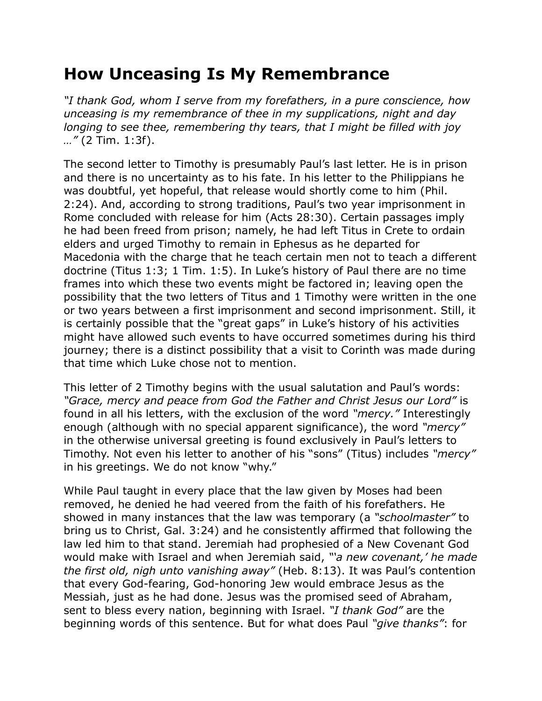## **How Unceasing Is My Remembrance**

*"I thank God, whom I serve from my forefathers, in a pure conscience, how unceasing is my remembrance of thee in my supplications, night and day longing to see thee, remembering thy tears, that I might be filled with joy …"* (2 Tim. 1:3f).

The second letter to Timothy is presumably Paul's last letter. He is in prison and there is no uncertainty as to his fate. In his letter to the Philippians he was doubtful, yet hopeful, that release would shortly come to him (Phil. 2:24). And, according to strong traditions, Paul's two year imprisonment in Rome concluded with release for him (Acts 28:30). Certain passages imply he had been freed from prison; namely, he had left Titus in Crete to ordain elders and urged Timothy to remain in Ephesus as he departed for Macedonia with the charge that he teach certain men not to teach a different doctrine (Titus 1:3; 1 Tim. 1:5). In Luke's history of Paul there are no time frames into which these two events might be factored in; leaving open the possibility that the two letters of Titus and 1 Timothy were written in the one or two years between a first imprisonment and second imprisonment. Still, it is certainly possible that the "great gaps" in Luke's history of his activities might have allowed such events to have occurred sometimes during his third journey; there is a distinct possibility that a visit to Corinth was made during that time which Luke chose not to mention.

This letter of 2 Timothy begins with the usual salutation and Paul's words: *"Grace, mercy and peace from God the Father and Christ Jesus our Lord"* is found in all his letters, with the exclusion of the word *"mercy."* Interestingly enough (although with no special apparent significance), the word *"mercy"* in the otherwise universal greeting is found exclusively in Paul's letters to Timothy. Not even his letter to another of his "sons" (Titus) includes *"mercy"* in his greetings. We do not know "why."

While Paul taught in every place that the law given by Moses had been removed, he denied he had veered from the faith of his forefathers. He showed in many instances that the law was temporary (a *"schoolmaster"* to bring us to Christ, Gal. 3:24) and he consistently affirmed that following the law led him to that stand. Jeremiah had prophesied of a New Covenant God would make with Israel and when Jeremiah said, *"'a new covenant,' he made the first old, nigh unto vanishing away"* (Heb. 8:13). It was Paul's contention that every God-fearing, God-honoring Jew would embrace Jesus as the Messiah, just as he had done. Jesus was the promised seed of Abraham, sent to bless every nation, beginning with Israel. *"I thank God"* are the beginning words of this sentence. But for what does Paul *"give thanks"*: for